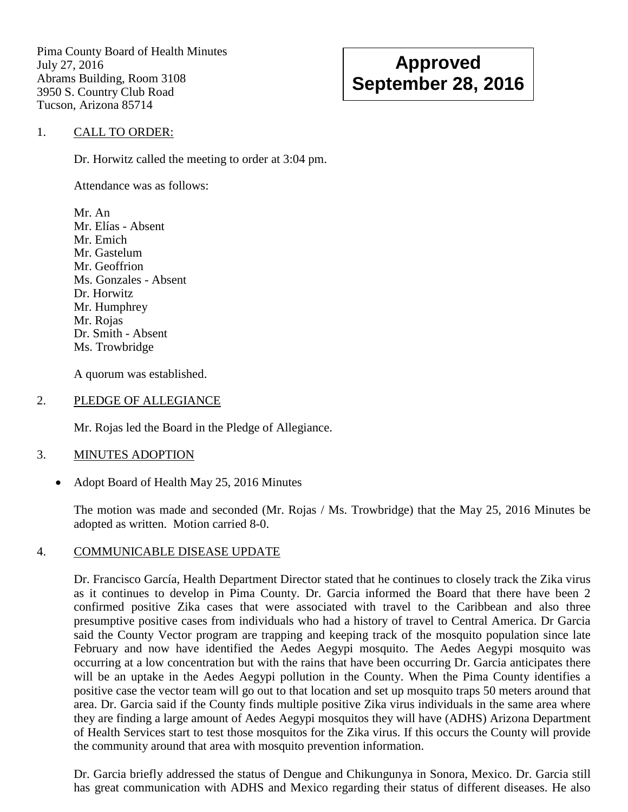Pima County Board of Health Minutes July 27, 2016 Abrams Building, Room 3108 3950 S. Country Club Road Tucson, Arizona 85714

# **Approved September 28, 2016**

## 1. CALL TO ORDER:

Dr. Horwitz called the meeting to order at 3:04 pm.

Attendance was as follows:

Mr. An Mr. Elías - Absent Mr. Emich Mr. Gastelum Mr. Geoffrion Ms. Gonzales - Absent Dr. Horwitz Mr. Humphrey Mr. Rojas Dr. Smith - Absent Ms. Trowbridge

A quorum was established.

#### 2. PLEDGE OF ALLEGIANCE

Mr. Rojas led the Board in the Pledge of Allegiance.

## 3. MINUTES ADOPTION

• Adopt Board of Health May 25, 2016 Minutes

The motion was made and seconded (Mr. Rojas / Ms. Trowbridge) that the May 25, 2016 Minutes be adopted as written. Motion carried 8-0.

## 4. COMMUNICABLE DISEASE UPDATE

Dr. Francisco García, Health Department Director stated that he continues to closely track the Zika virus as it continues to develop in Pima County. Dr. Garcia informed the Board that there have been 2 confirmed positive Zika cases that were associated with travel to the Caribbean and also three presumptive positive cases from individuals who had a history of travel to Central America. Dr Garcia said the County Vector program are trapping and keeping track of the mosquito population since late February and now have identified the Aedes Aegypi mosquito. The Aedes Aegypi mosquito was occurring at a low concentration but with the rains that have been occurring Dr. Garcia anticipates there will be an uptake in the Aedes Aegypi pollution in the County. When the Pima County identifies a positive case the vector team will go out to that location and set up mosquito traps 50 meters around that area. Dr. Garcia said if the County finds multiple positive Zika virus individuals in the same area where they are finding a large amount of Aedes Aegypi mosquitos they will have (ADHS) Arizona Department of Health Services start to test those mosquitos for the Zika virus. If this occurs the County will provide the community around that area with mosquito prevention information.

Dr. Garcia briefly addressed the status of Dengue and Chikungunya in Sonora, Mexico. Dr. Garcia still has great communication with ADHS and Mexico regarding their status of different diseases. He also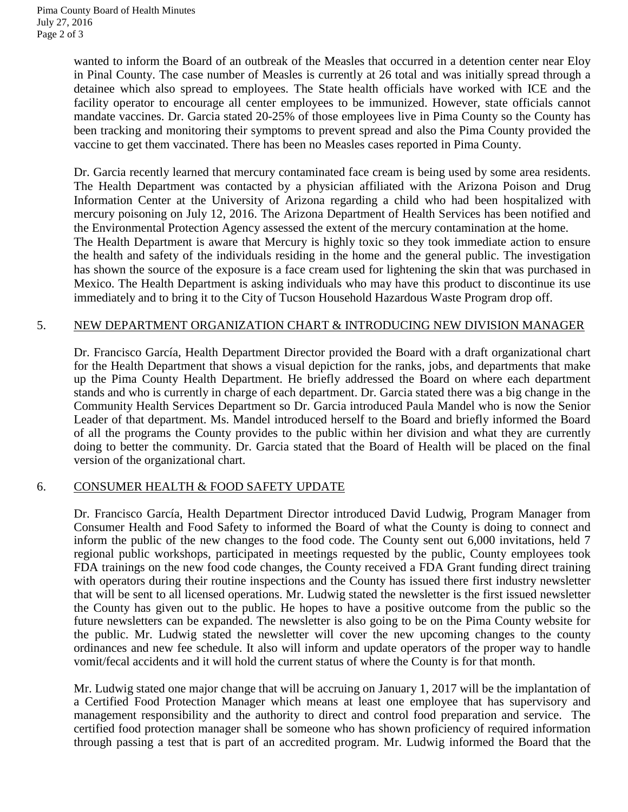wanted to inform the Board of an outbreak of the Measles that occurred in a detention center near Eloy in Pinal County. The case number of Measles is currently at 26 total and was initially spread through a detainee which also spread to employees. The State health officials have worked with ICE and the facility operator to encourage all center employees to be immunized. However, state officials cannot mandate vaccines. Dr. Garcia stated 20-25% of those employees live in Pima County so the County has been tracking and monitoring their symptoms to prevent spread and also the Pima County provided the vaccine to get them vaccinated. There has been no Measles cases reported in Pima County.

Dr. Garcia recently learned that mercury contaminated face cream is being used by some area residents. The Health Department was contacted by a physician affiliated with the Arizona Poison and Drug Information Center at the University of Arizona regarding a child who had been hospitalized with mercury poisoning on July 12, 2016. The Arizona Department of Health Services has been notified and the Environmental Protection Agency assessed the extent of the mercury contamination at the home. The Health Department is aware that Mercury is highly toxic so they took immediate action to ensure the health and safety of the individuals residing in the home and the general public. The investigation has shown the source of the exposure is a face cream used for lightening the skin that was purchased in Mexico. The Health Department is asking individuals who may have this product to discontinue its use immediately and to bring it to the City of Tucson Household Hazardous Waste Program drop off.

## 5. NEW DEPARTMENT ORGANIZATION CHART & INTRODUCING NEW DIVISION MANAGER

Dr. Francisco García, Health Department Director provided the Board with a draft organizational chart for the Health Department that shows a visual depiction for the ranks, jobs, and departments that make up the Pima County Health Department. He briefly addressed the Board on where each department stands and who is currently in charge of each department. Dr. Garcia stated there was a big change in the Community Health Services Department so Dr. Garcia introduced Paula Mandel who is now the Senior Leader of that department. Ms. Mandel introduced herself to the Board and briefly informed the Board of all the programs the County provides to the public within her division and what they are currently doing to better the community. Dr. Garcia stated that the Board of Health will be placed on the final version of the organizational chart.

## 6. CONSUMER HEALTH & FOOD SAFETY UPDATE

Dr. Francisco García, Health Department Director introduced David Ludwig, Program Manager from Consumer Health and Food Safety to informed the Board of what the County is doing to connect and inform the public of the new changes to the food code. The County sent out 6,000 invitations, held 7 regional public workshops, participated in meetings requested by the public, County employees took FDA trainings on the new food code changes, the County received a FDA Grant funding direct training with operators during their routine inspections and the County has issued there first industry newsletter that will be sent to all licensed operations. Mr. Ludwig stated the newsletter is the first issued newsletter the County has given out to the public. He hopes to have a positive outcome from the public so the future newsletters can be expanded. The newsletter is also going to be on the Pima County website for the public. Mr. Ludwig stated the newsletter will cover the new upcoming changes to the county ordinances and new fee schedule. It also will inform and update operators of the proper way to handle vomit/fecal accidents and it will hold the current status of where the County is for that month.

Mr. Ludwig stated one major change that will be accruing on January 1, 2017 will be the implantation of a Certified Food Protection Manager which means at least one employee that has supervisory and management responsibility and the authority to direct and control food preparation and service. The certified food protection manager shall be someone who has shown proficiency of required information through passing a test that is part of an accredited program. Mr. Ludwig informed the Board that the